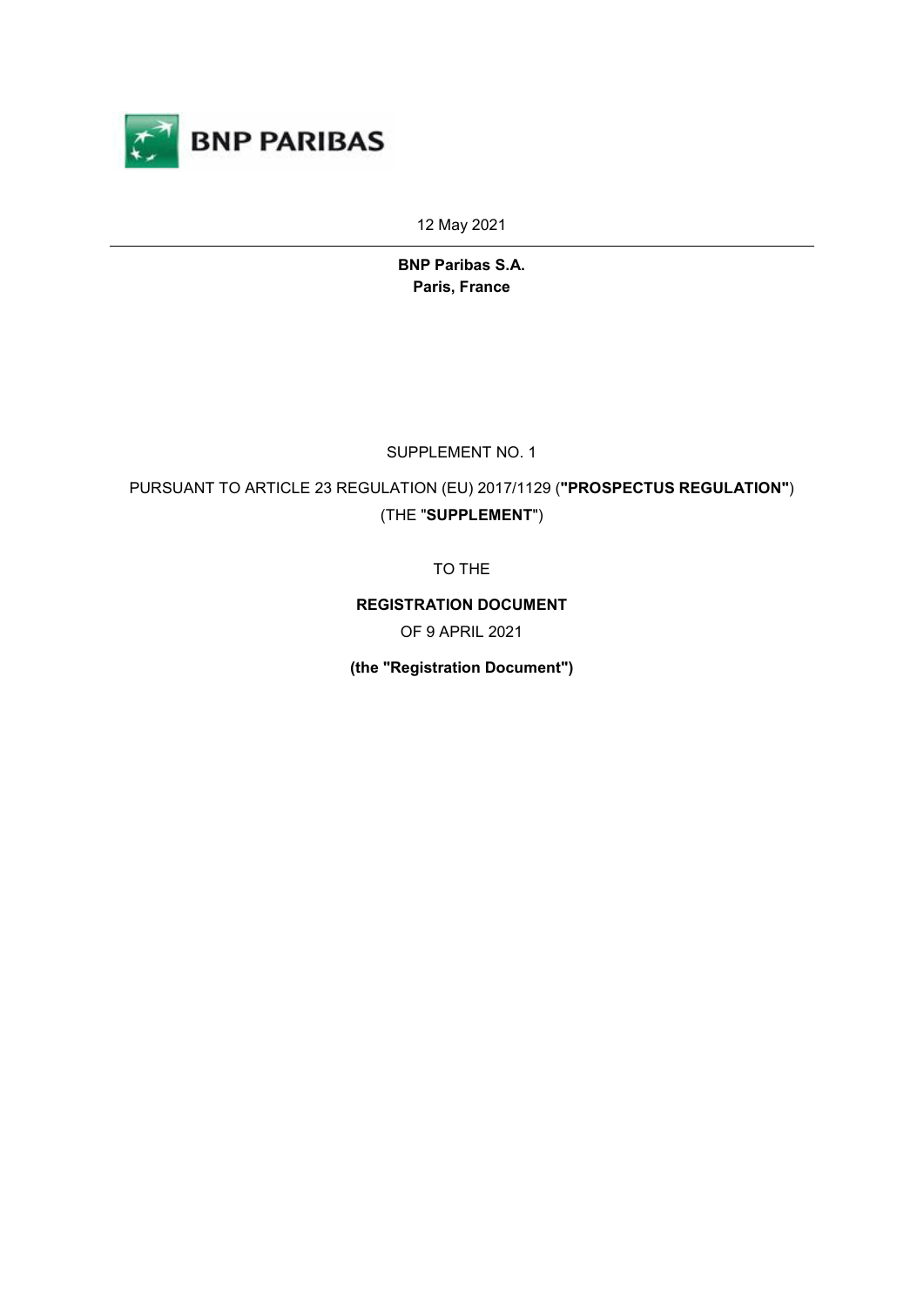

12 May 2021

**BNP Paribas S.A. Paris, France**

SUPPLEMENT NO. 1

PURSUANT TO ARTICLE 23 REGULATION (EU) 2017/1129 (**"PROSPECTUS REGULATION"**) (THE "**SUPPLEMENT**")

TO THE

**REGISTRATION DOCUMENT**

OF 9 APRIL 2021

**(the "Registration Document")**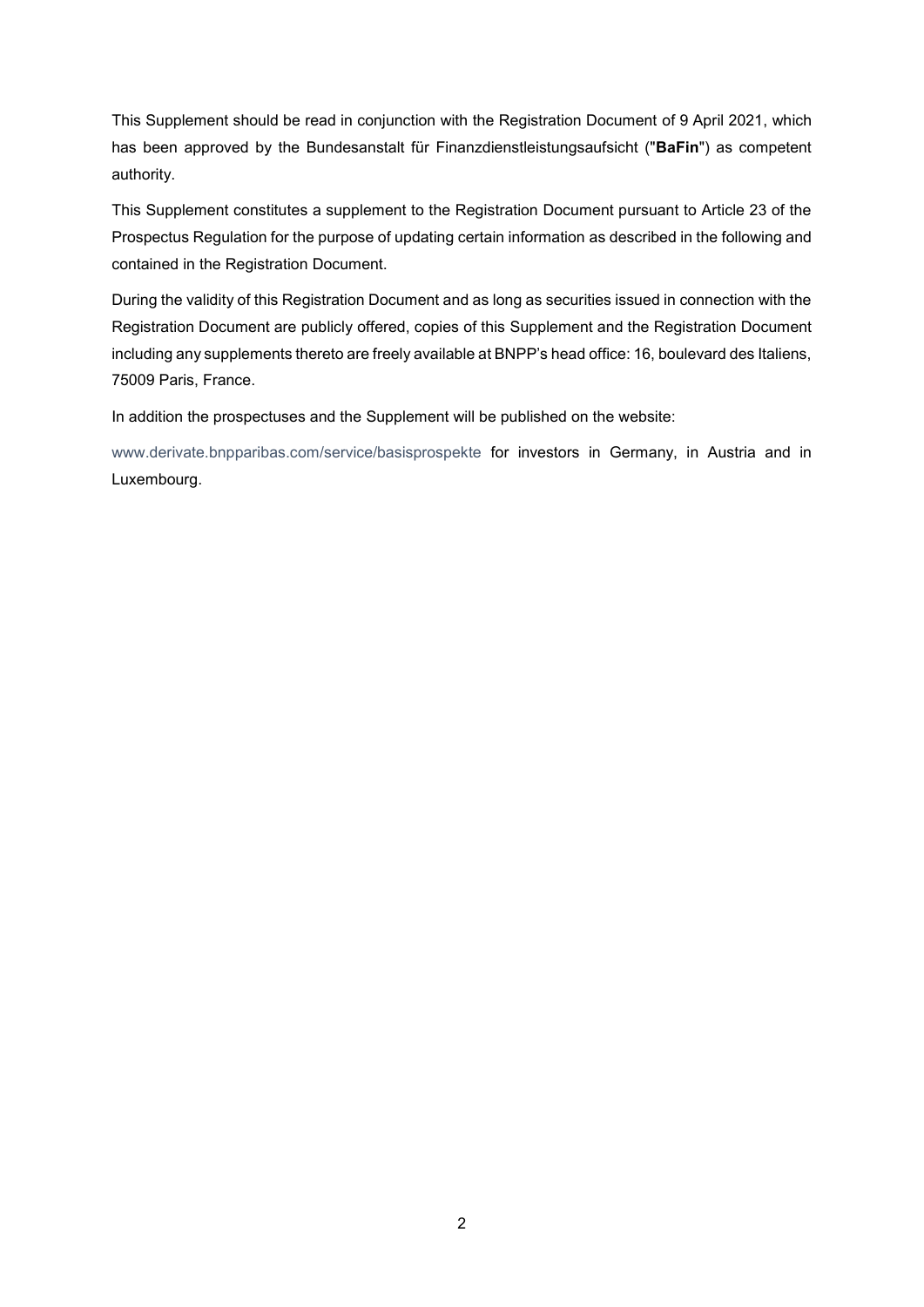This Supplement should be read in conjunction with the Registration Document of 9 April 2021, which has been approved by the Bundesanstalt für Finanzdienstleistungsaufsicht ("**BaFin**") as competent authority.

This Supplement constitutes a supplement to the Registration Document pursuant to Article 23 of the Prospectus Regulation for the purpose of updating certain information as described in the following and contained in the Registration Document.

During the validity of this Registration Document and as long as securities issued in connection with the Registration Document are publicly offered, copies of this Supplement and the Registration Document including any supplements thereto are freely available at BNPP's head office: 16, boulevard des Italiens, 75009 Paris, France.

In addition the prospectuses and the Supplement will be published on the website:

[www.derivate.bnpparibas.com/service/basisprospekte](http://www.derivate.bnpparibas.com/service/basisprospekte) for investors in Germany, in Austria and in Luxembourg.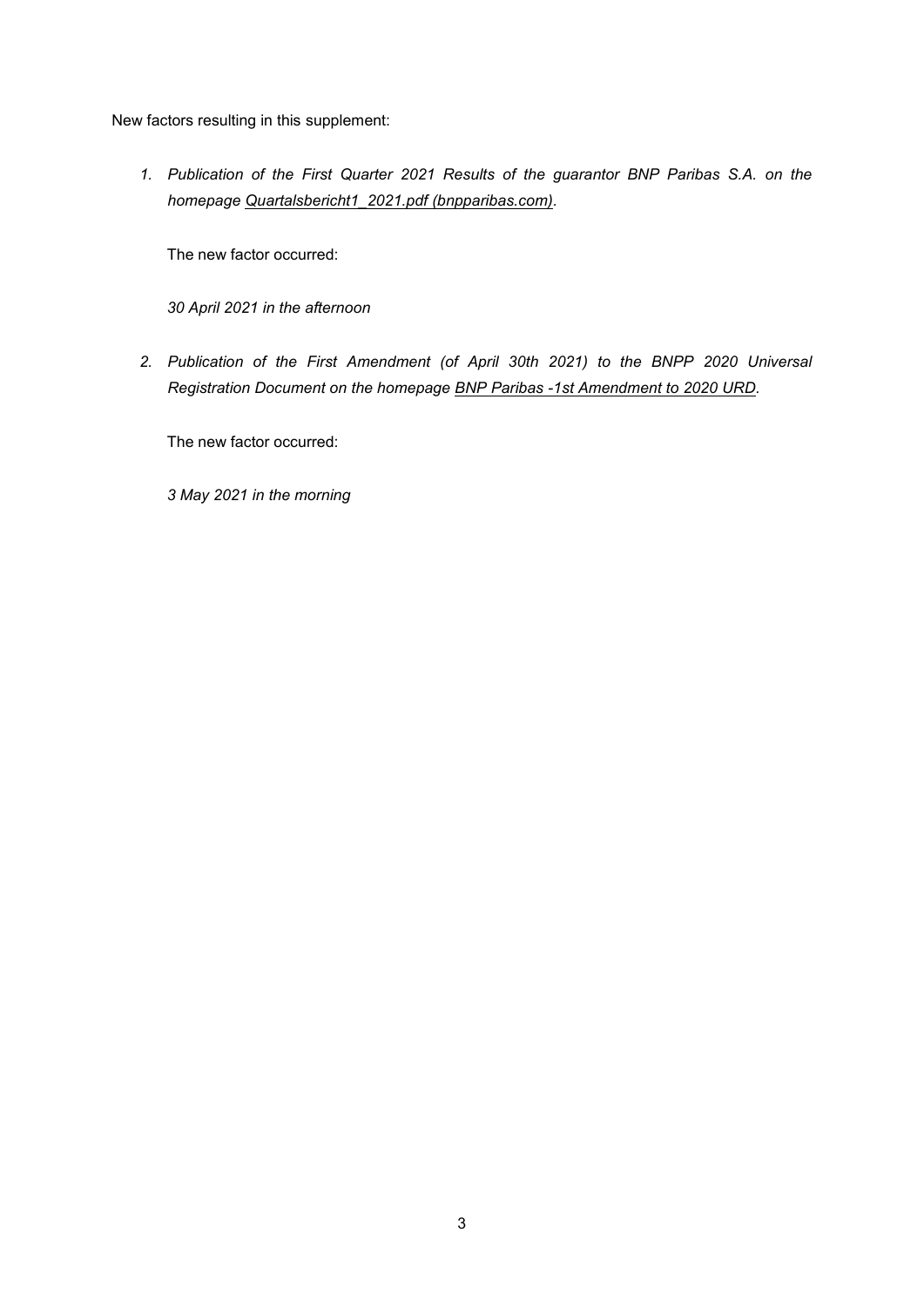New factors resulting in this supplement:

*1. Publication of the First Quarter 2021 Results of the guarantor BNP Paribas S.A. on the homepage [Quartalsbericht1\\_2021.pdf \(bnpparibas.com\).](https://www.derivate.bnpparibas.com/MediaLibrary/Document/Backend/Derivative_Documents/Quartalsbericht1_2021.pdf)*

The new factor occurred:

*30 April 2021 in the afternoon*

*2. Publication of the First Amendment (of April 30th 2021) to the BNPP 2020 Universal Registration Document on the homepage [BNP Paribas -1st Amendment to 2020 URD.](https://www.derivate.bnpparibas.com/MediaLibrary/Document/Backend/Derivative_Documents/bnp_paribas_-1st_amendment_to_2020_urd.pdf)*

The new factor occurred:

*3 May 2021 in the morning*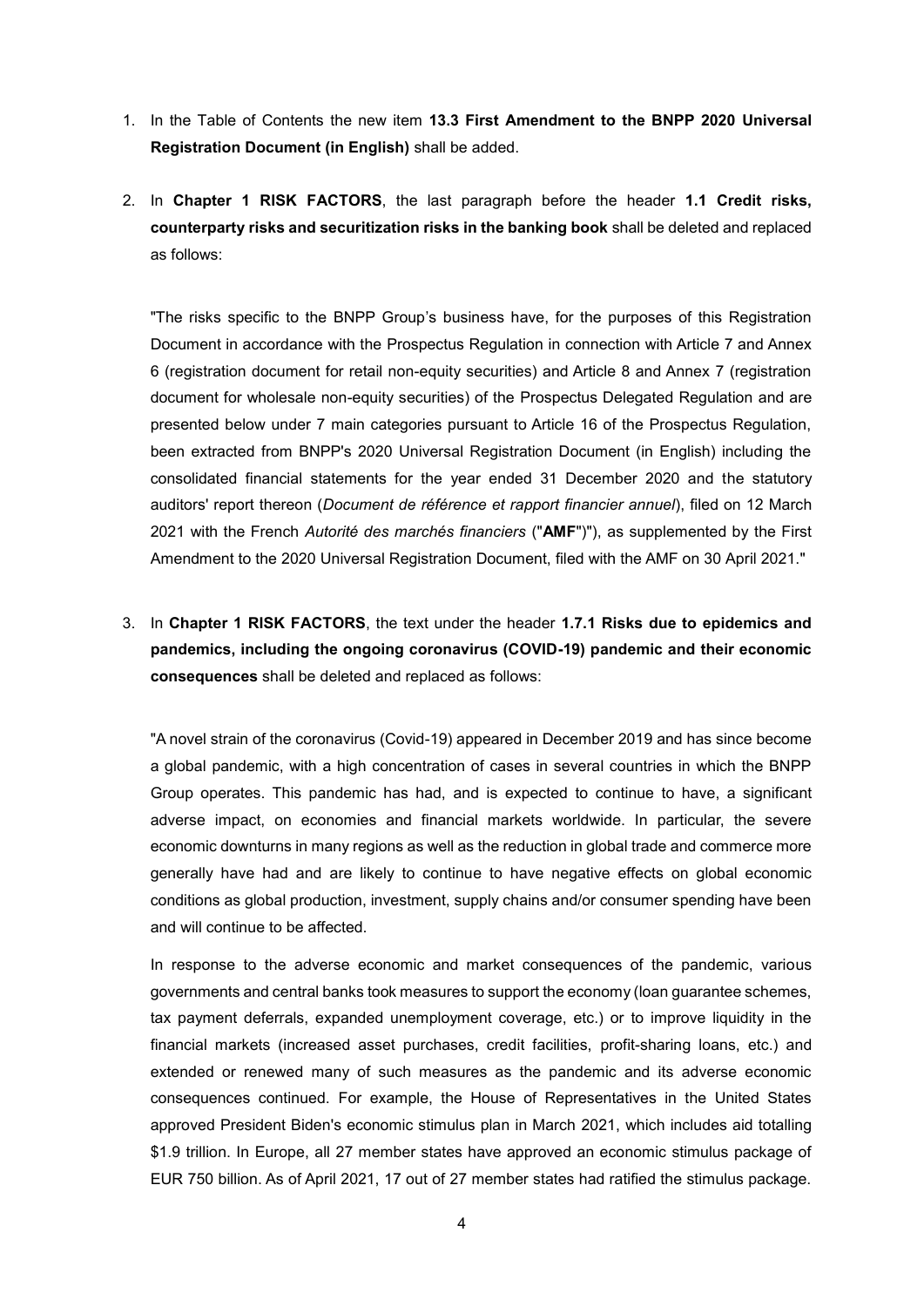- 1. In the Table of Contents the new item **13.3 First Amendment to the BNPP 2020 Universal Registration Document (in English)** shall be added.
- 2. In **Chapter 1 RISK FACTORS**, the last paragraph before the header **1.1 Credit risks, counterparty risks and securitization risks in the banking book** shall be deleted and replaced as follows:

"The risks specific to the BNPP Group's business have, for the purposes of this Registration Document in accordance with the Prospectus Regulation in connection with Article 7 and Annex 6 (registration document for retail non-equity securities) and Article 8 and Annex 7 (registration document for wholesale non-equity securities) of the Prospectus Delegated Regulation and are presented below under 7 main categories pursuant to Article 16 of the Prospectus Regulation, been extracted from BNPP's 2020 Universal Registration Document (in English) including the consolidated financial statements for the year ended 31 December 2020 and the statutory auditors' report thereon (*Document de référence et rapport financier annuel*), filed on 12 March 2021 with the French *Autorité des marchés financiers* ("**AMF**")"), as supplemented by the First Amendment to the 2020 Universal Registration Document, filed with the AMF on 30 April 2021."

3. In **Chapter 1 RISK FACTORS**, the text under the header **1.7.1 Risks due to epidemics and pandemics, including the ongoing coronavirus (COVID-19) pandemic and their economic consequences** shall be deleted and replaced as follows:

"A novel strain of the coronavirus (Covid-19) appeared in December 2019 and has since become a global pandemic, with a high concentration of cases in several countries in which the BNPP Group operates. This pandemic has had, and is expected to continue to have, a significant adverse impact, on economies and financial markets worldwide. In particular, the severe economic downturns in many regions as well as the reduction in global trade and commerce more generally have had and are likely to continue to have negative effects on global economic conditions as global production, investment, supply chains and/or consumer spending have been and will continue to be affected.

In response to the adverse economic and market consequences of the pandemic, various governments and central banks took measures to support the economy (loan guarantee schemes, tax payment deferrals, expanded unemployment coverage, etc.) or to improve liquidity in the financial markets (increased asset purchases, credit facilities, profit-sharing loans, etc.) and extended or renewed many of such measures as the pandemic and its adverse economic consequences continued. For example, the House of Representatives in the United States approved President Biden's economic stimulus plan in March 2021, which includes aid totalling \$1.9 trillion. In Europe, all 27 member states have approved an economic stimulus package of EUR 750 billion. As of April 2021, 17 out of 27 member states had ratified the stimulus package.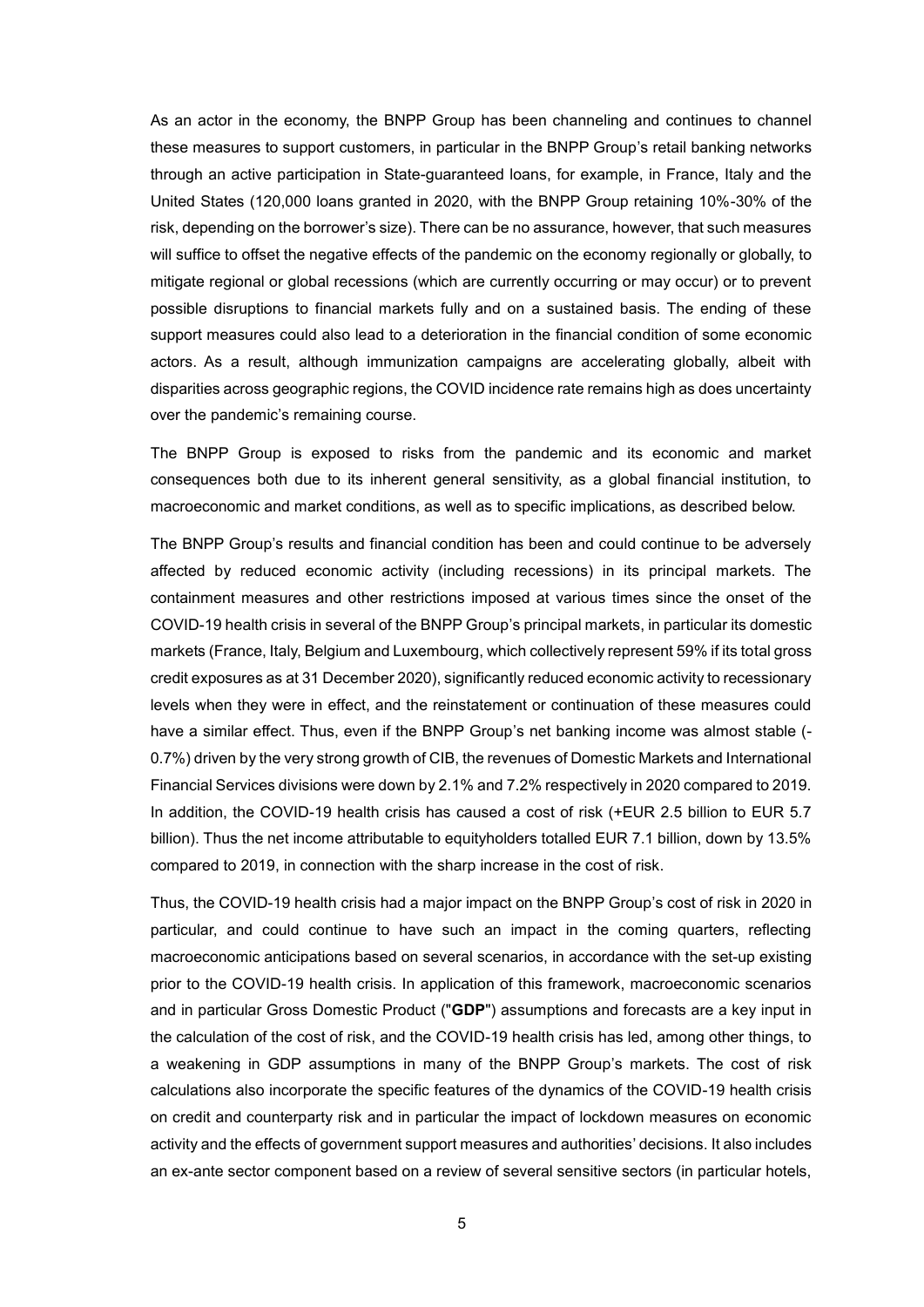As an actor in the economy, the BNPP Group has been channeling and continues to channel these measures to support customers, in particular in the BNPP Group's retail banking networks through an active participation in State-guaranteed loans, for example, in France, Italy and the United States (120,000 loans granted in 2020, with the BNPP Group retaining 10%-30% of the risk, depending on the borrower's size). There can be no assurance, however, that such measures will suffice to offset the negative effects of the pandemic on the economy regionally or globally, to mitigate regional or global recessions (which are currently occurring or may occur) or to prevent possible disruptions to financial markets fully and on a sustained basis. The ending of these support measures could also lead to a deterioration in the financial condition of some economic actors. As a result, although immunization campaigns are accelerating globally, albeit with disparities across geographic regions, the COVID incidence rate remains high as does uncertainty over the pandemic's remaining course.

The BNPP Group is exposed to risks from the pandemic and its economic and market consequences both due to its inherent general sensitivity, as a global financial institution, to macroeconomic and market conditions, as well as to specific implications, as described below.

The BNPP Group's results and financial condition has been and could continue to be adversely affected by reduced economic activity (including recessions) in its principal markets. The containment measures and other restrictions imposed at various times since the onset of the COVID-19 health crisis in several of the BNPP Group's principal markets, in particular its domestic markets (France, Italy, Belgium and Luxembourg, which collectively represent 59% if its total gross credit exposures as at 31 December 2020), significantly reduced economic activity to recessionary levels when they were in effect, and the reinstatement or continuation of these measures could have a similar effect. Thus, even if the BNPP Group's net banking income was almost stable (- 0.7%) driven by the very strong growth of CIB, the revenues of Domestic Markets and International Financial Services divisions were down by 2.1% and 7.2% respectively in 2020 compared to 2019. In addition, the COVID-19 health crisis has caused a cost of risk (+EUR 2.5 billion to EUR 5.7 billion). Thus the net income attributable to equityholders totalled EUR 7.1 billion, down by 13.5% compared to 2019, in connection with the sharp increase in the cost of risk.

Thus, the COVID-19 health crisis had a major impact on the BNPP Group's cost of risk in 2020 in particular, and could continue to have such an impact in the coming quarters, reflecting macroeconomic anticipations based on several scenarios, in accordance with the set-up existing prior to the COVID-19 health crisis. In application of this framework, macroeconomic scenarios and in particular Gross Domestic Product ("**GDP**") assumptions and forecasts are a key input in the calculation of the cost of risk, and the COVID-19 health crisis has led, among other things, to a weakening in GDP assumptions in many of the BNPP Group's markets. The cost of risk calculations also incorporate the specific features of the dynamics of the COVID-19 health crisis on credit and counterparty risk and in particular the impact of lockdown measures on economic activity and the effects of government support measures and authorities' decisions. It also includes an ex-ante sector component based on a review of several sensitive sectors (in particular hotels,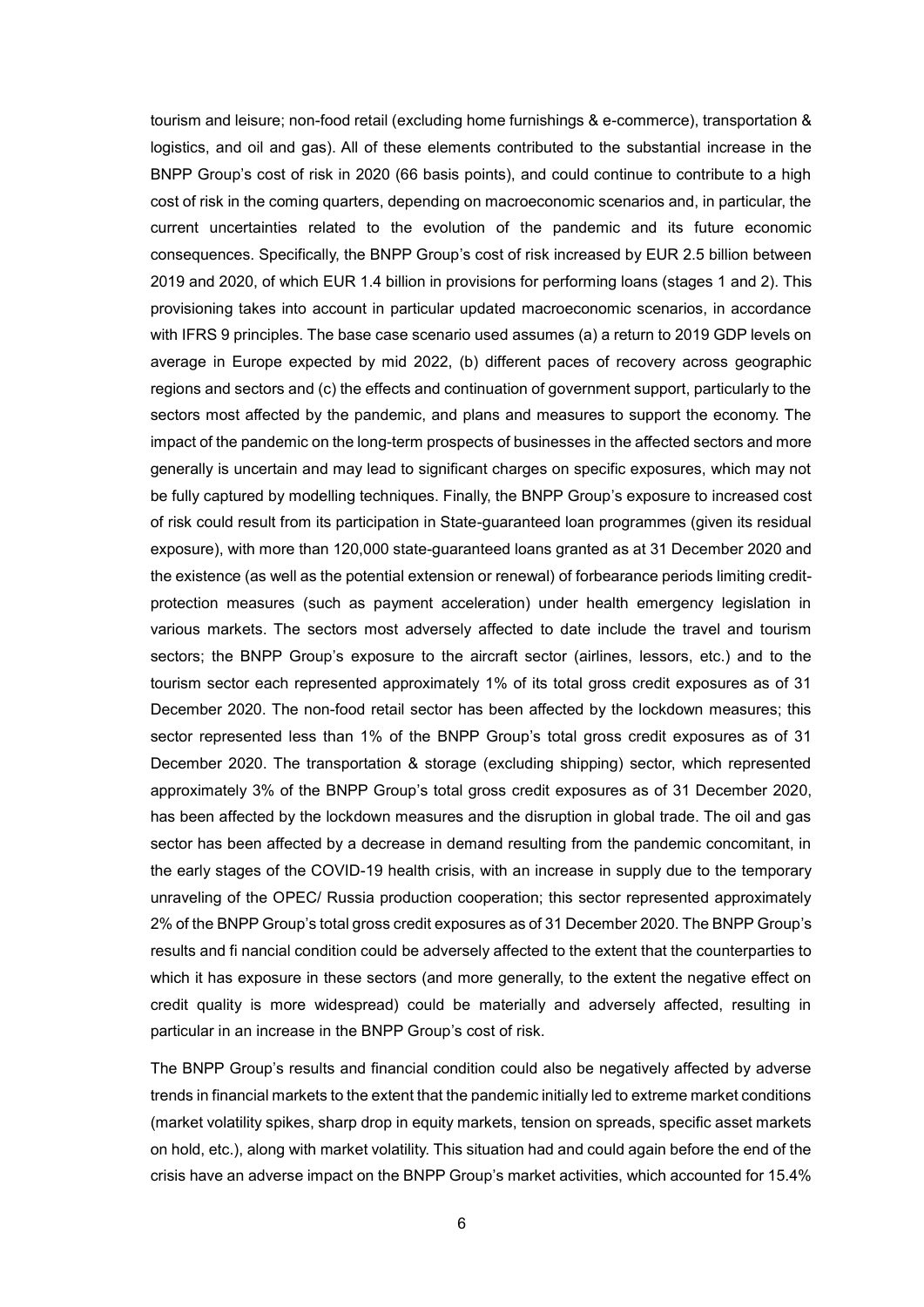tourism and leisure; non-food retail (excluding home furnishings & e-commerce), transportation & logistics, and oil and gas). All of these elements contributed to the substantial increase in the BNPP Group's cost of risk in 2020 (66 basis points), and could continue to contribute to a high cost of risk in the coming quarters, depending on macroeconomic scenarios and, in particular, the current uncertainties related to the evolution of the pandemic and its future economic consequences. Specifically, the BNPP Group's cost of risk increased by EUR 2.5 billion between 2019 and 2020, of which EUR 1.4 billion in provisions for performing loans (stages 1 and 2). This provisioning takes into account in particular updated macroeconomic scenarios, in accordance with IFRS 9 principles. The base case scenario used assumes (a) a return to 2019 GDP levels on average in Europe expected by mid 2022, (b) different paces of recovery across geographic regions and sectors and (c) the effects and continuation of government support, particularly to the sectors most affected by the pandemic, and plans and measures to support the economy. The impact of the pandemic on the long-term prospects of businesses in the affected sectors and more generally is uncertain and may lead to significant charges on specific exposures, which may not be fully captured by modelling techniques. Finally, the BNPP Group's exposure to increased cost of risk could result from its participation in State-guaranteed loan programmes (given its residual exposure), with more than 120,000 state-guaranteed loans granted as at 31 December 2020 and the existence (as well as the potential extension or renewal) of forbearance periods limiting creditprotection measures (such as payment acceleration) under health emergency legislation in various markets. The sectors most adversely affected to date include the travel and tourism sectors; the BNPP Group's exposure to the aircraft sector (airlines, lessors, etc.) and to the tourism sector each represented approximately 1% of its total gross credit exposures as of 31 December 2020. The non-food retail sector has been affected by the lockdown measures; this sector represented less than 1% of the BNPP Group's total gross credit exposures as of 31 December 2020. The transportation & storage (excluding shipping) sector, which represented approximately 3% of the BNPP Group's total gross credit exposures as of 31 December 2020, has been affected by the lockdown measures and the disruption in global trade. The oil and gas sector has been affected by a decrease in demand resulting from the pandemic concomitant, in the early stages of the COVID-19 health crisis, with an increase in supply due to the temporary unraveling of the OPEC/ Russia production cooperation; this sector represented approximately 2% of the BNPP Group's total gross credit exposures as of 31 December 2020. The BNPP Group's results and fi nancial condition could be adversely affected to the extent that the counterparties to which it has exposure in these sectors (and more generally, to the extent the negative effect on credit quality is more widespread) could be materially and adversely affected, resulting in particular in an increase in the BNPP Group's cost of risk.

The BNPP Group's results and financial condition could also be negatively affected by adverse trends in financial markets to the extent that the pandemic initially led to extreme market conditions (market volatility spikes, sharp drop in equity markets, tension on spreads, specific asset markets on hold, etc.), along with market volatility. This situation had and could again before the end of the crisis have an adverse impact on the BNPP Group's market activities, which accounted for 15.4%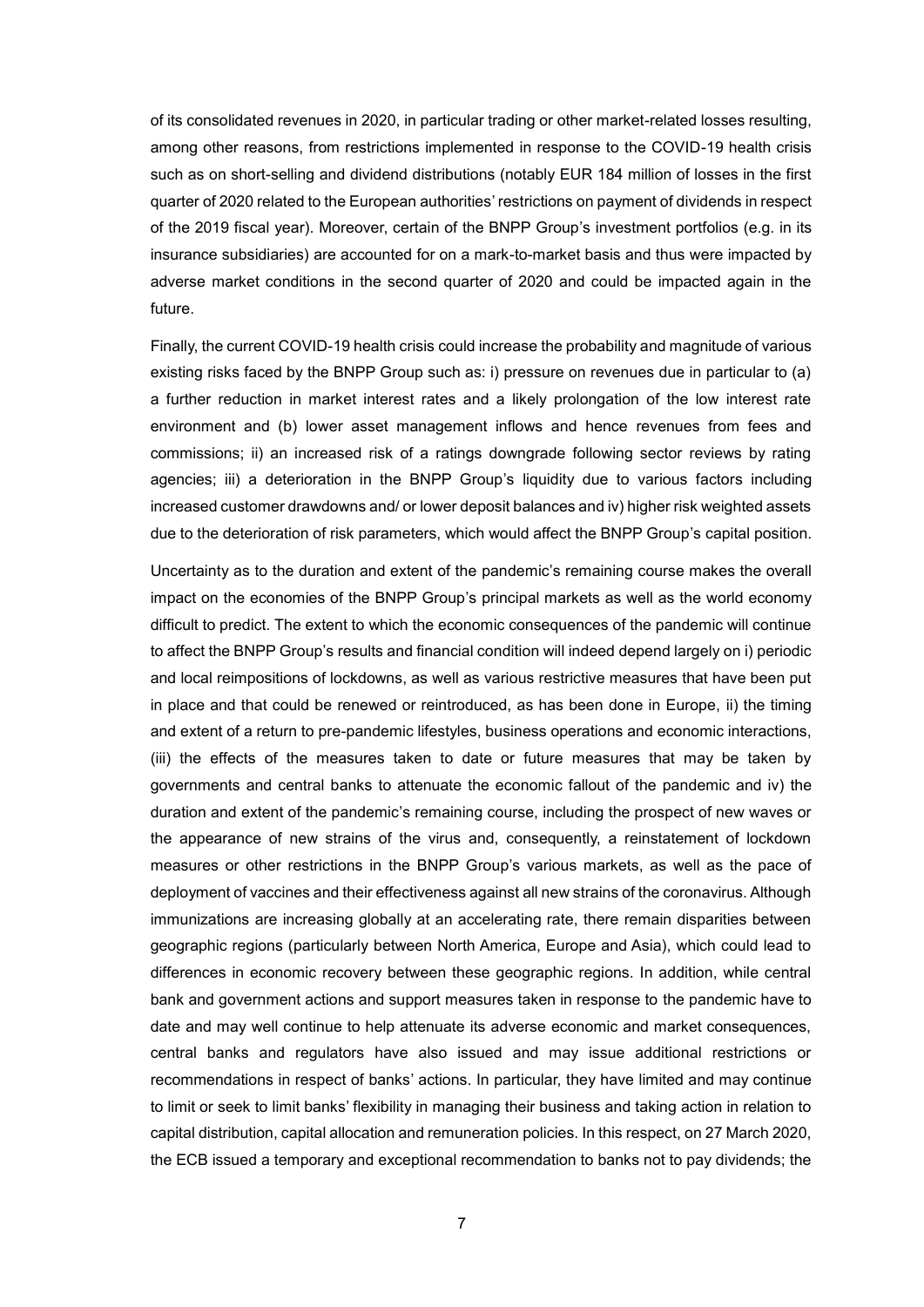of its consolidated revenues in 2020, in particular trading or other market-related losses resulting, among other reasons, from restrictions implemented in response to the COVID-19 health crisis such as on short-selling and dividend distributions (notably EUR 184 million of losses in the first quarter of 2020 related to the European authorities' restrictions on payment of dividends in respect of the 2019 fiscal year). Moreover, certain of the BNPP Group's investment portfolios (e.g. in its insurance subsidiaries) are accounted for on a mark-to-market basis and thus were impacted by adverse market conditions in the second quarter of 2020 and could be impacted again in the future.

Finally, the current COVID-19 health crisis could increase the probability and magnitude of various existing risks faced by the BNPP Group such as: i) pressure on revenues due in particular to (a) a further reduction in market interest rates and a likely prolongation of the low interest rate environment and (b) lower asset management inflows and hence revenues from fees and commissions; ii) an increased risk of a ratings downgrade following sector reviews by rating agencies; iii) a deterioration in the BNPP Group's liquidity due to various factors including increased customer drawdowns and/ or lower deposit balances and iv) higher risk weighted assets due to the deterioration of risk parameters, which would affect the BNPP Group's capital position.

Uncertainty as to the duration and extent of the pandemic's remaining course makes the overall impact on the economies of the BNPP Group's principal markets as well as the world economy difficult to predict. The extent to which the economic consequences of the pandemic will continue to affect the BNPP Group's results and financial condition will indeed depend largely on i) periodic and local reimpositions of lockdowns, as well as various restrictive measures that have been put in place and that could be renewed or reintroduced, as has been done in Europe, ii) the timing and extent of a return to pre-pandemic lifestyles, business operations and economic interactions, (iii) the effects of the measures taken to date or future measures that may be taken by governments and central banks to attenuate the economic fallout of the pandemic and iv) the duration and extent of the pandemic's remaining course, including the prospect of new waves or the appearance of new strains of the virus and, consequently, a reinstatement of lockdown measures or other restrictions in the BNPP Group's various markets, as well as the pace of deployment of vaccines and their effectiveness against all new strains of the coronavirus. Although immunizations are increasing globally at an accelerating rate, there remain disparities between geographic regions (particularly between North America, Europe and Asia), which could lead to differences in economic recovery between these geographic regions. In addition, while central bank and government actions and support measures taken in response to the pandemic have to date and may well continue to help attenuate its adverse economic and market consequences, central banks and regulators have also issued and may issue additional restrictions or recommendations in respect of banks' actions. In particular, they have limited and may continue to limit or seek to limit banks' flexibility in managing their business and taking action in relation to capital distribution, capital allocation and remuneration policies. In this respect, on 27 March 2020, the ECB issued a temporary and exceptional recommendation to banks not to pay dividends; the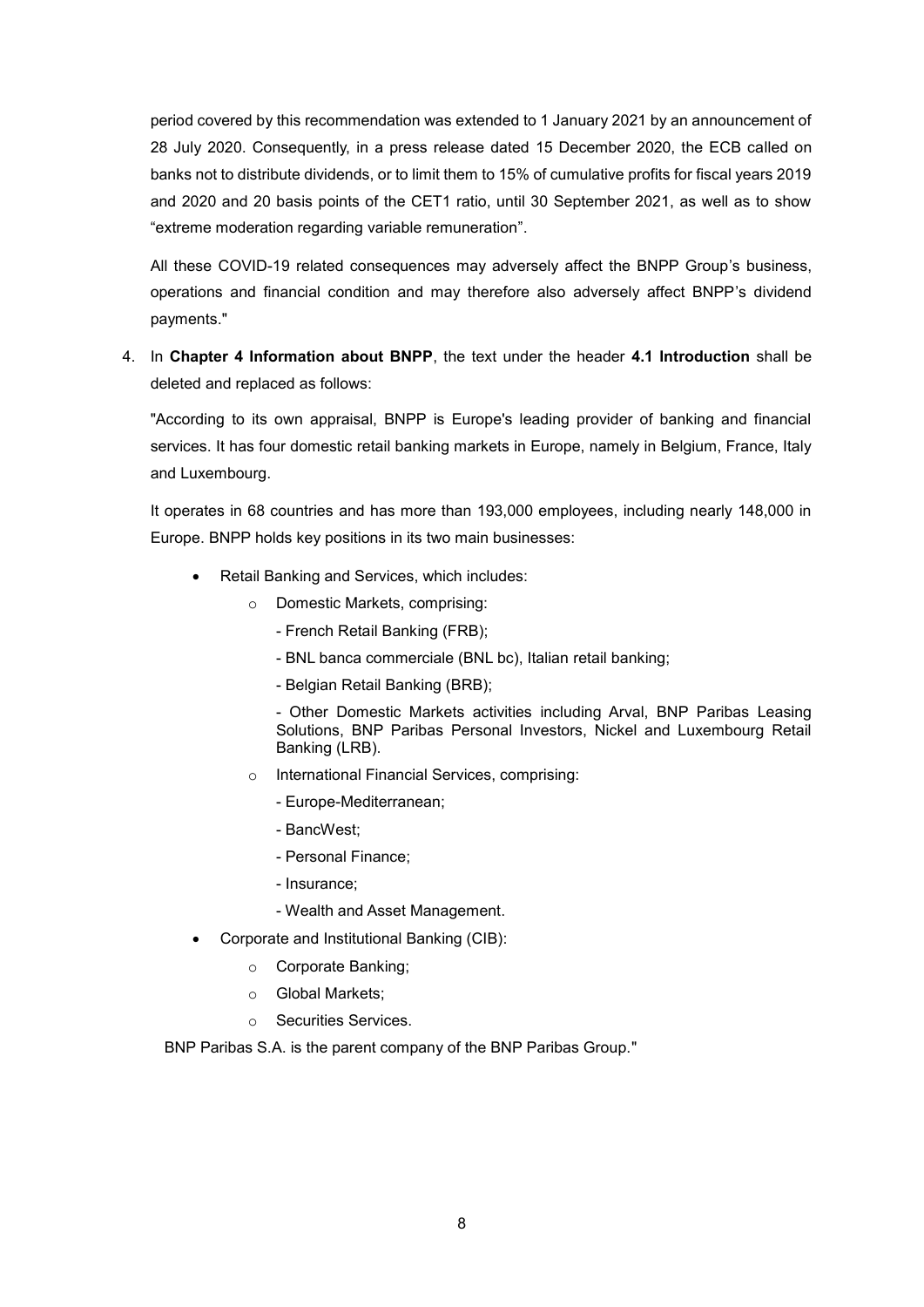period covered by this recommendation was extended to 1 January 2021 by an announcement of 28 July 2020. Consequently, in a press release dated 15 December 2020, the ECB called on banks not to distribute dividends, or to limit them to 15% of cumulative profits for fiscal years 2019 and 2020 and 20 basis points of the CET1 ratio, until 30 September 2021, as well as to show "extreme moderation regarding variable remuneration".

All these COVID-19 related consequences may adversely affect the BNPP Group's business, operations and financial condition and may therefore also adversely affect BNPP's dividend payments."

4. In **Chapter 4 Information about BNPP**, the text under the header **4.1 Introduction** shall be deleted and replaced as follows:

"According to its own appraisal, BNPP is Europe's leading provider of banking and financial services. It has four domestic retail banking markets in Europe, namely in Belgium, France, Italy and Luxembourg.

It operates in 68 countries and has more than 193,000 employees, including nearly 148,000 in Europe. BNPP holds key positions in its two main businesses:

- Retail Banking and Services, which includes:
	- o Domestic Markets, comprising:
		- French Retail Banking (FRB);
		- BNL banca commerciale (BNL bc), Italian retail banking;
		- Belgian Retail Banking (BRB);

- Other Domestic Markets activities including Arval, BNP Paribas Leasing Solutions, BNP Paribas Personal Investors, Nickel and Luxembourg Retail Banking (LRB).

- o International Financial Services, comprising:
	- Europe-Mediterranean;
	- BancWest;
	- Personal Finance;
	- Insurance;
	- Wealth and Asset Management.
- Corporate and Institutional Banking (CIB):
	- o Corporate Banking;
	- o Global Markets;
	- o Securities Services.

BNP Paribas S.A. is the parent company of the BNP Paribas Group."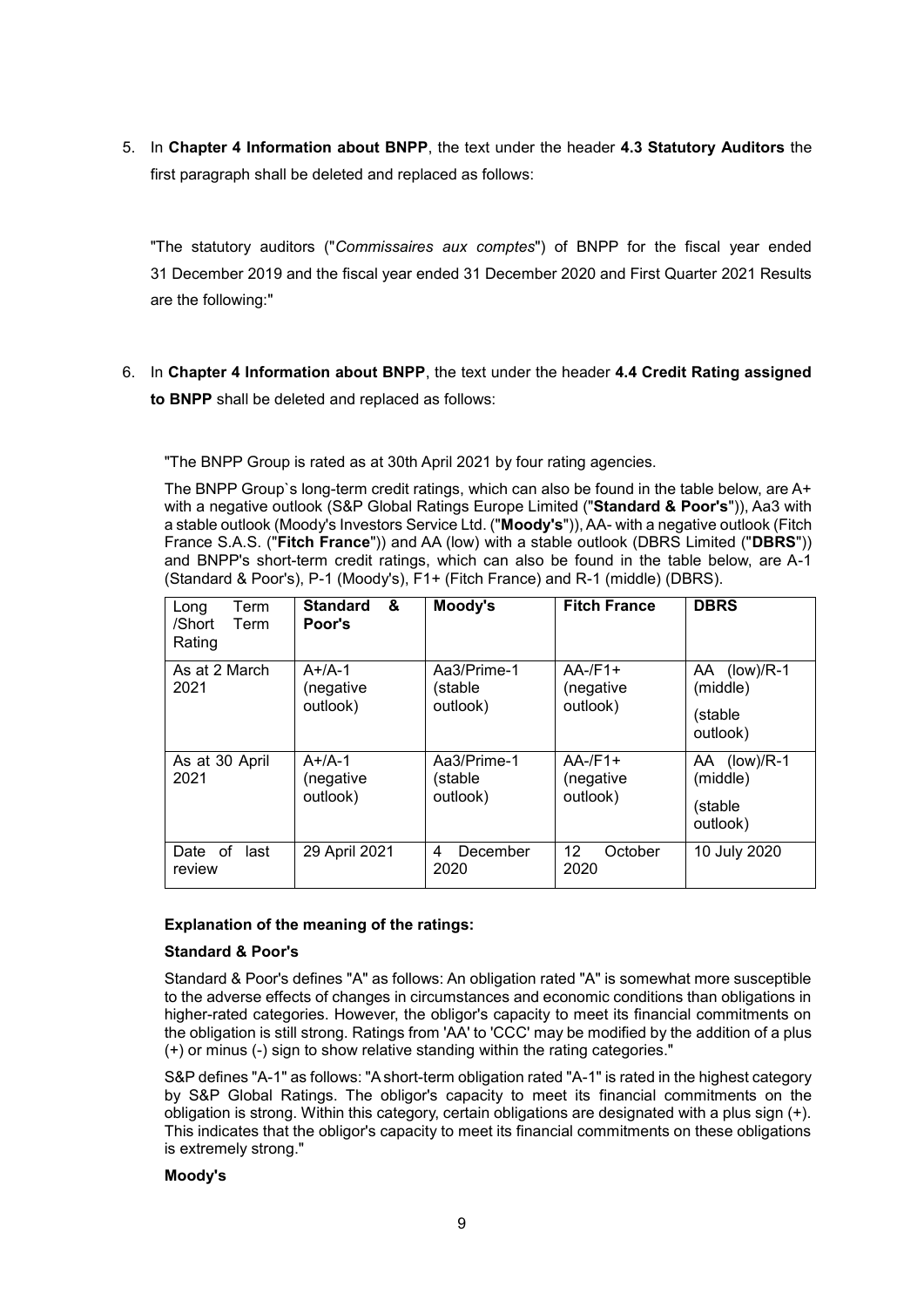5. In **Chapter 4 Information about BNPP**, the text under the header **4.3 Statutory Auditors** the first paragraph shall be deleted and replaced as follows:

"The statutory auditors ("*Commissaires aux comptes*") of BNPP for the fiscal year ended 31 December 2019 and the fiscal year ended 31 December 2020 and First Quarter 2021 Results are the following:"

6. In **Chapter 4 Information about BNPP**, the text under the header **4.4 Credit Rating assigned to BNPP** shall be deleted and replaced as follows:

"The BNPP Group is rated as at 30th April 2021 by four rating agencies.

The BNPP Group`s long-term credit ratings, which can also be found in the table below, are A+ with a negative outlook (S&P Global Ratings Europe Limited ("**Standard & Poor's**")), Aa3 with a stable outlook (Moody's Investors Service Ltd. ("**Moody's**")), AA- with a negative outlook (Fitch France S.A.S. ("**Fitch France**")) and AA (low) with a stable outlook (DBRS Limited ("**DBRS**")) and BNPP's short-term credit ratings, which can also be found in the table below, are A-1 (Standard & Poor's), P-1 (Moody's), F1+ (Fitch France) and R-1 (middle) (DBRS).

| Term<br>Long<br>/Short<br>Term<br>Rating | &<br><b>Standard</b><br>Poor's    | Moody's                            | <b>Fitch France</b>                  | <b>DBRS</b>                                     |
|------------------------------------------|-----------------------------------|------------------------------------|--------------------------------------|-------------------------------------------------|
| As at 2 March<br>2021                    | $A+/A-1$<br>(negative<br>outlook) | Aa3/Prime-1<br>(stable<br>outlook) | $AA$ -/F1+<br>(negative<br>outlook)  | AA (low)/R-1<br>(middle)<br>(stable<br>outlook) |
| As at 30 April<br>2021                   | $A+/A-1$<br>(negative<br>outlook) | Aa3/Prime-1<br>(stable<br>outlook) | $AA$ -/F1+<br>(negative<br>outlook)  | AA (low)/R-1<br>(middle)<br>(stable<br>outlook) |
| Date of<br>last<br>review                | 29 April 2021                     | December<br>4<br>2020              | $12 \overline{ }$<br>October<br>2020 | 10 July 2020                                    |

### **Explanation of the meaning of the ratings:**

## **Standard & Poor's**

Standard & Poor's defines "A" as follows: An obligation rated "A" is somewhat more susceptible to the adverse effects of changes in circumstances and economic conditions than obligations in higher-rated categories. However, the obligor's capacity to meet its financial commitments on the obligation is still strong. Ratings from 'AA' to 'CCC' may be modified by the addition of a plus (+) or minus (-) sign to show relative standing within the rating categories."

S&P defines "A-1" as follows: "A short-term obligation rated "A-1" is rated in the highest category by S&P Global Ratings. The obligor's capacity to meet its financial commitments on the obligation is strong. Within this category, certain obligations are designated with a plus sign (+). This indicates that the obligor's capacity to meet its financial commitments on these obligations is extremely strong."

#### **Moody's**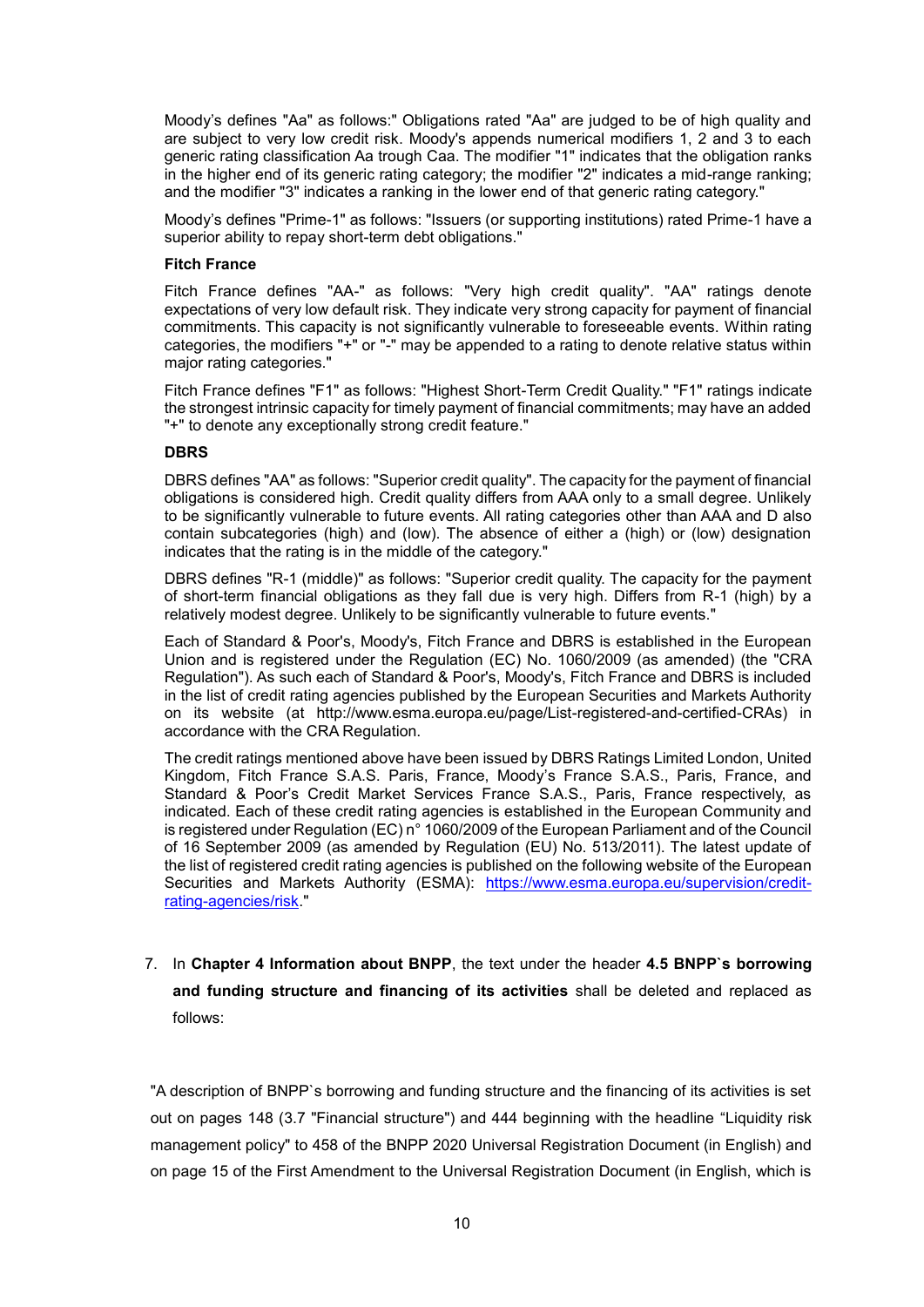Moody's defines "Aa" as follows:" Obligations rated "Aa" are judged to be of high quality and are subject to very low credit risk. Moody's appends numerical modifiers 1, 2 and 3 to each generic rating classification Aa trough Caa. The modifier "1" indicates that the obligation ranks in the higher end of its generic rating category; the modifier "2" indicates a mid-range ranking; and the modifier "3" indicates a ranking in the lower end of that generic rating category."

Moody's defines "Prime-1" as follows: "Issuers (or supporting institutions) rated Prime-1 have a superior ability to repay short-term debt obligations."

#### **Fitch France**

Fitch France defines "AA-" as follows: "Very high credit quality". "AA" ratings denote expectations of very low default risk. They indicate very strong capacity for payment of financial commitments. This capacity is not significantly vulnerable to foreseeable events. Within rating categories, the modifiers "+" or "-" may be appended to a rating to denote relative status within major rating categories."

Fitch France defines "F1" as follows: "Highest Short-Term Credit Quality." "F1" ratings indicate the strongest intrinsic capacity for timely payment of financial commitments; may have an added "+" to denote any exceptionally strong credit feature."

#### **DBRS**

DBRS defines "AA" as follows: "Superior credit quality". The capacity for the payment of financial obligations is considered high. Credit quality differs from AAA only to a small degree. Unlikely to be significantly vulnerable to future events. All rating categories other than AAA and D also contain subcategories (high) and (low). The absence of either a (high) or (low) designation indicates that the rating is in the middle of the category."

DBRS defines "R-1 (middle)" as follows: "Superior credit quality. The capacity for the payment of short-term financial obligations as they fall due is very high. Differs from R-1 (high) by a relatively modest degree. Unlikely to be significantly vulnerable to future events."

Each of Standard & Poor's, Moody's, Fitch France and DBRS is established in the European Union and is registered under the Regulation (EC) No. 1060/2009 (as amended) (the "CRA Regulation"). As such each of Standard & Poor's, Moody's, Fitch France and DBRS is included in the list of credit rating agencies published by the European Securities and Markets Authority on its website (at http://www.esma.europa.eu/page/List-registered-and-certified-CRAs) in accordance with the CRA Regulation.

The credit ratings mentioned above have been issued by DBRS Ratings Limited London, United Kingdom, Fitch France S.A.S. Paris, France, Moody's France S.A.S., Paris, France, and Standard & Poor's Credit Market Services France S.A.S., Paris, France respectively, as indicated. Each of these credit rating agencies is established in the European Community and is registered under Regulation (EC) n° 1060/2009 of the European Parliament and of the Council of 16 September 2009 (as amended by Regulation (EU) No. 513/2011). The latest update of the list of registered credit rating agencies is published on the following website of the European Securities and Markets Authority (ESMA): [https://www.esma.europa.eu/supervision/credit](https://www.esma.europa.eu/supervision/credit-%20rating-agencies/risk)[rating-agencies/risk.](https://www.esma.europa.eu/supervision/credit-%20rating-agencies/risk)"

# 7. In **Chapter 4 Information about BNPP**, the text under the header **4.5 BNPP`s borrowing and funding structure and financing of its activities** shall be deleted and replaced as follows:

"A description of BNPP`s borrowing and funding structure and the financing of its activities is set out on pages 148 (3.7 "Financial structure") and 444 beginning with the headline "Liquidity risk management policy" to 458 of the BNPP 2020 Universal Registration Document (in English) and on page 15 of the First Amendment to the Universal Registration Document (in English, which is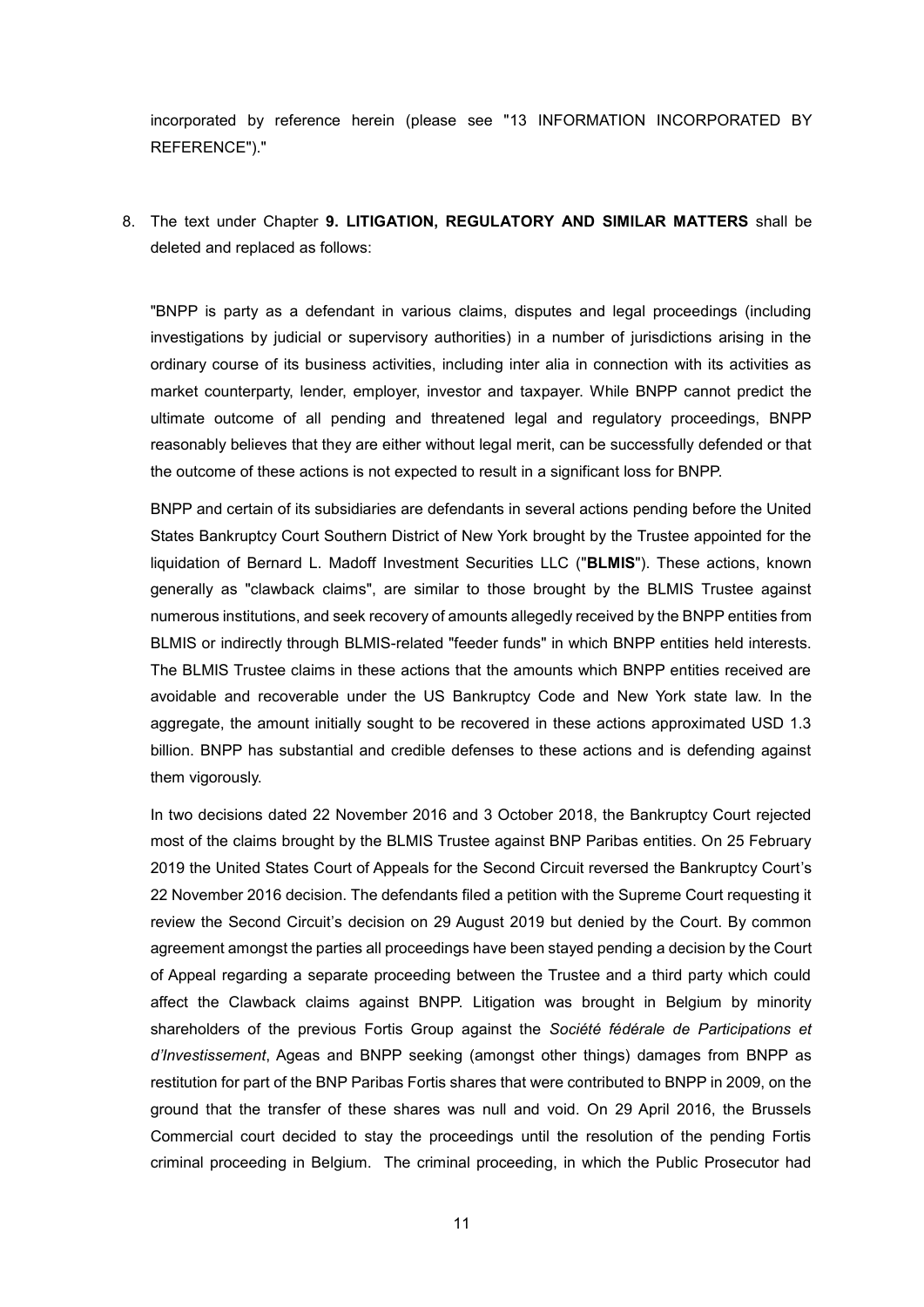incorporated by reference herein (please see "13 INFORMATION INCORPORATED BY REFERENCE")."

8. The text under Chapter **9. LITIGATION, REGULATORY AND SIMILAR MATTERS** shall be deleted and replaced as follows:

"BNPP is party as a defendant in various claims, disputes and legal proceedings (including investigations by judicial or supervisory authorities) in a number of jurisdictions arising in the ordinary course of its business activities, including inter alia in connection with its activities as market counterparty, lender, employer, investor and taxpayer. While BNPP cannot predict the ultimate outcome of all pending and threatened legal and regulatory proceedings, BNPP reasonably believes that they are either without legal merit, can be successfully defended or that the outcome of these actions is not expected to result in a significant loss for BNPP.

BNPP and certain of its subsidiaries are defendants in several actions pending before the United States Bankruptcy Court Southern District of New York brought by the Trustee appointed for the liquidation of Bernard L. Madoff Investment Securities LLC ("**BLMIS**"). These actions, known generally as "clawback claims", are similar to those brought by the BLMIS Trustee against numerous institutions, and seek recovery of amounts allegedly received by the BNPP entities from BLMIS or indirectly through BLMIS-related "feeder funds" in which BNPP entities held interests. The BLMIS Trustee claims in these actions that the amounts which BNPP entities received are avoidable and recoverable under the US Bankruptcy Code and New York state law. In the aggregate, the amount initially sought to be recovered in these actions approximated USD 1.3 billion. BNPP has substantial and credible defenses to these actions and is defending against them vigorously.

In two decisions dated 22 November 2016 and 3 October 2018, the Bankruptcy Court rejected most of the claims brought by the BLMIS Trustee against BNP Paribas entities. On 25 February 2019 the United States Court of Appeals for the Second Circuit reversed the Bankruptcy Court's 22 November 2016 decision. The defendants filed a petition with the Supreme Court requesting it review the Second Circuit's decision on 29 August 2019 but denied by the Court. By common agreement amongst the parties all proceedings have been stayed pending a decision by the Court of Appeal regarding a separate proceeding between the Trustee and a third party which could affect the Clawback claims against BNPP. Litigation was brought in Belgium by minority shareholders of the previous Fortis Group against the *Société fédérale de Participations et d'Investissement*, Ageas and BNPP seeking (amongst other things) damages from BNPP as restitution for part of the BNP Paribas Fortis shares that were contributed to BNPP in 2009, on the ground that the transfer of these shares was null and void. On 29 April 2016, the Brussels Commercial court decided to stay the proceedings until the resolution of the pending Fortis criminal proceeding in Belgium. The criminal proceeding, in which the Public Prosecutor had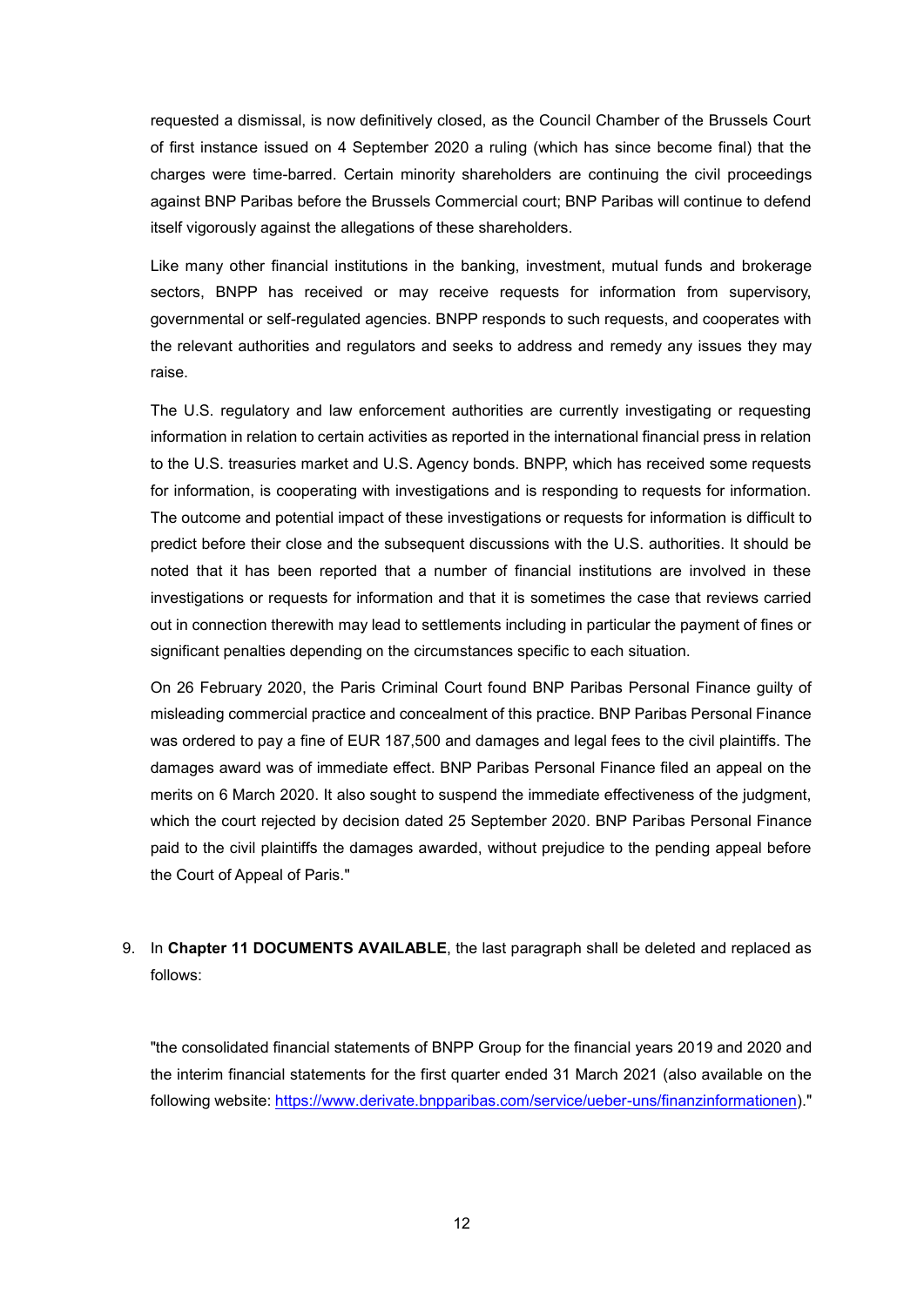requested a dismissal, is now definitively closed, as the Council Chamber of the Brussels Court of first instance issued on 4 September 2020 a ruling (which has since become final) that the charges were time-barred. Certain minority shareholders are continuing the civil proceedings against BNP Paribas before the Brussels Commercial court; BNP Paribas will continue to defend itself vigorously against the allegations of these shareholders.

Like many other financial institutions in the banking, investment, mutual funds and brokerage sectors, BNPP has received or may receive requests for information from supervisory, governmental or self-regulated agencies. BNPP responds to such requests, and cooperates with the relevant authorities and regulators and seeks to address and remedy any issues they may raise.

The U.S. regulatory and law enforcement authorities are currently investigating or requesting information in relation to certain activities as reported in the international financial press in relation to the U.S. treasuries market and U.S. Agency bonds. BNPP, which has received some requests for information, is cooperating with investigations and is responding to requests for information. The outcome and potential impact of these investigations or requests for information is difficult to predict before their close and the subsequent discussions with the U.S. authorities. It should be noted that it has been reported that a number of financial institutions are involved in these investigations or requests for information and that it is sometimes the case that reviews carried out in connection therewith may lead to settlements including in particular the payment of fines or significant penalties depending on the circumstances specific to each situation.

On 26 February 2020, the Paris Criminal Court found BNP Paribas Personal Finance guilty of misleading commercial practice and concealment of this practice. BNP Paribas Personal Finance was ordered to pay a fine of EUR 187,500 and damages and legal fees to the civil plaintiffs. The damages award was of immediate effect. BNP Paribas Personal Finance filed an appeal on the merits on 6 March 2020. It also sought to suspend the immediate effectiveness of the judgment, which the court rejected by decision dated 25 September 2020. BNP Paribas Personal Finance paid to the civil plaintiffs the damages awarded, without prejudice to the pending appeal before the Court of Appeal of Paris."

## 9. In **Chapter 11 DOCUMENTS AVAILABLE**, the last paragraph shall be deleted and replaced as follows:

"the consolidated financial statements of BNPP Group for the financial years 2019 and 2020 and the interim financial statements for the first quarter ended 31 March 2021 (also available on the following website: [https://www.derivate.bnpparibas.com/service/ueber-uns/finanzinformationen\)](https://www.derivate.bnpparibas.com/service/ueber-uns/finanzinformationen)."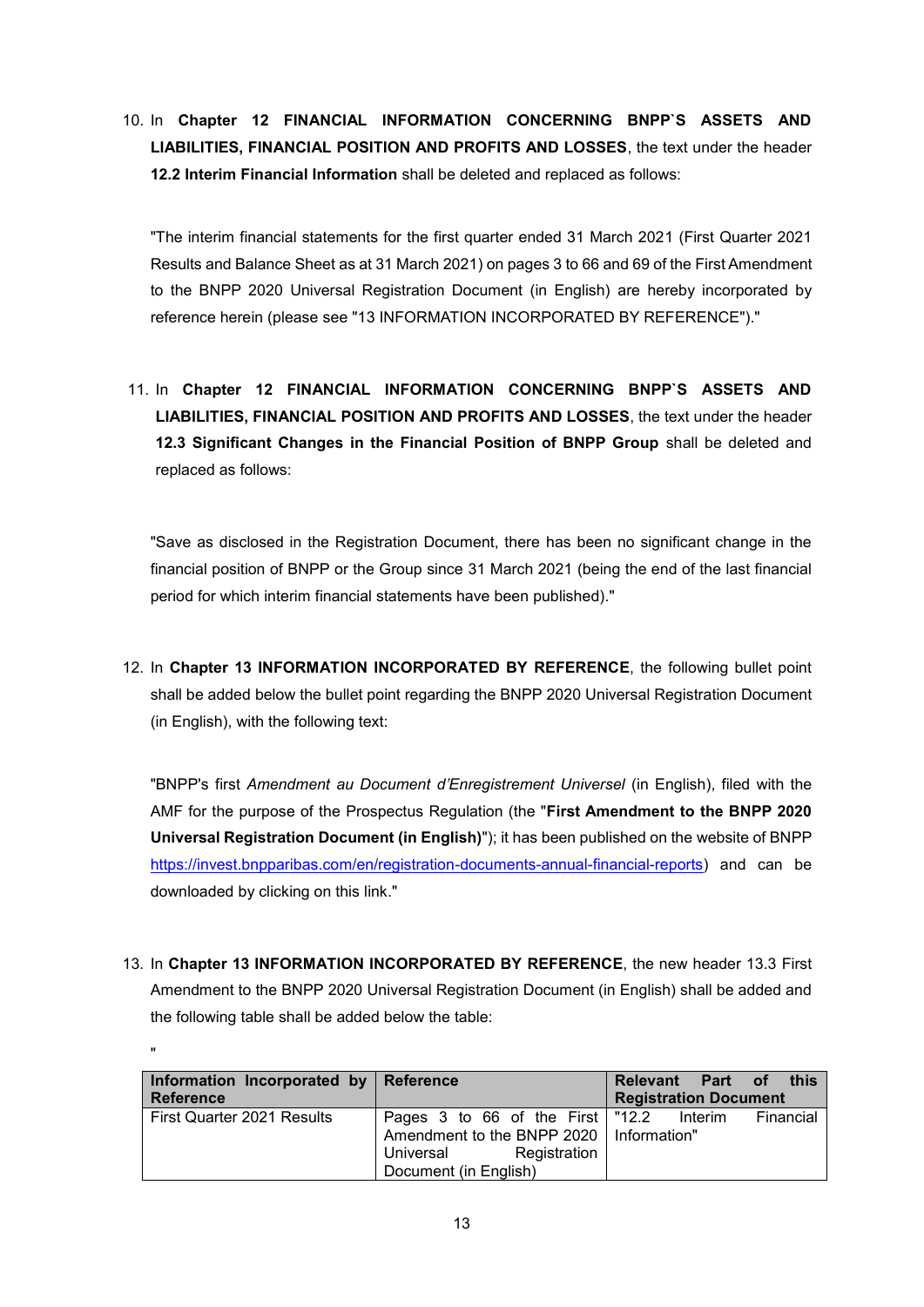10. In **Chapter 12 FINANCIAL INFORMATION CONCERNING BNPP`S ASSETS AND LIABILITIES, FINANCIAL POSITION AND PROFITS AND LOSSES**, the text under the header **12.2 Interim Financial Information** shall be deleted and replaced as follows:

"The interim financial statements for the first quarter ended 31 March 2021 (First Quarter 2021 Results and Balance Sheet as at 31 March 2021) on pages 3 to 66 and 69 of the First Amendment to the BNPP 2020 Universal Registration Document (in English) are hereby incorporated by reference herein (please see "13 INFORMATION INCORPORATED BY REFERENCE")."

11. In **Chapter 12 FINANCIAL INFORMATION CONCERNING BNPP`S ASSETS AND LIABILITIES, FINANCIAL POSITION AND PROFITS AND LOSSES**, the text under the header **12.3 Significant Changes in the Financial Position of BNPP Group** shall be deleted and replaced as follows:

"Save as disclosed in the Registration Document, there has been no significant change in the financial position of BNPP or the Group since 31 March 2021 (being the end of the last financial period for which interim financial statements have been published)."

12. In **Chapter 13 INFORMATION INCORPORATED BY REFERENCE**, the following bullet point shall be added below the bullet point regarding the BNPP 2020 Universal Registration Document (in English), with the following text:

"BNPP's first *Amendment au Document d'Enregistrement Universel* (in English), filed with the AMF for the purpose of the Prospectus Regulation (the "**First Amendment to the BNPP 2020 Universal Registration Document (in English)**"); it has been published on the website of BNPP [https://invest.bnpparibas.com/en/registration-documents-annual-financial-reports\)](https://invest.bnpparibas.com/en/registration-documents-annual-financial-reports) and can be downloaded by clicking on this [link.](https://www.societegenerale.com/sites/default/files/documents/Document-d-enregistrement-universel/2019EN/societe-generale-urd-1st-amendment-08-11-2019.pdf)"

13. In **Chapter 13 INFORMATION INCORPORATED BY REFERENCE**, the new header 13.3 First Amendment to the BNPP 2020 Universal Registration Document (in English) shall be added and the following table shall be added below the table:

"

| Information Incorporated by Reference<br>∣ Reference |                                                      | Relevant Part of this<br><b>Registration Document</b> |  |  |
|------------------------------------------------------|------------------------------------------------------|-------------------------------------------------------|--|--|
| First Quarter 2021 Results                           | Pages 3 to 66 of the First   "12.2 Interim Financial |                                                       |  |  |
|                                                      | Amendment to the BNPP 2020   Information"            |                                                       |  |  |
|                                                      | Registration<br>Universal                            |                                                       |  |  |
|                                                      | Document (in English)                                |                                                       |  |  |